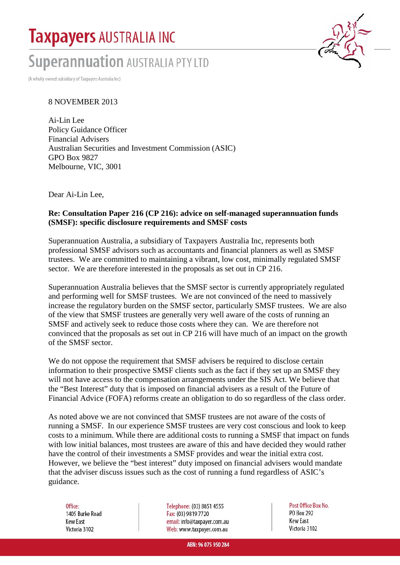# **Taxpayers AUSTRALIA INC**

# **Superannuation AUSTRALIA PTY LTD**

(A wholly owned subsidiary of Taxpayers Australia Inc)

#### 8 NOVEMBER 2013

Ai-Lin Lee Policy Guidance Officer Financial Advisers Australian Securities and Investment Commission (ASIC) GPO Box 9827 Melbourne, VIC, 3001

Dear Ai-Lin Lee,

#### **Re: Consultation Paper 216 (CP 216): advice on self-managed superannuation funds (SMSF): specific disclosure requirements and SMSF costs**

Superannuation Australia, a subsidiary of Taxpayers Australia Inc, represents both professional SMSF advisors such as accountants and financial planners as well as SMSF trustees. We are committed to maintaining a vibrant, low cost, minimally regulated SMSF sector. We are therefore interested in the proposals as set out in CP 216.

Superannuation Australia believes that the SMSF sector is currently appropriately regulated and performing well for SMSF trustees. We are not convinced of the need to massively increase the regulatory burden on the SMSF sector, particularly SMSF trustees. We are also of the view that SMSF trustees are generally very well aware of the costs of running an SMSF and actively seek to reduce those costs where they can. We are therefore not convinced that the proposals as set out in CP 216 will have much of an impact on the growth of the SMSF sector.

We do not oppose the requirement that SMSF advisers be required to disclose certain information to their prospective SMSF clients such as the fact if they set up an SMSF they will not have access to the compensation arrangements under the SIS Act. We believe that the "Best Interest" duty that is imposed on financial advisers as a result of the Future of Financial Advice (FOFA) reforms create an obligation to do so regardless of the class order.

As noted above we are not convinced that SMSF trustees are not aware of the costs of running a SMSF. In our experience SMSF trustees are very cost conscious and look to keep costs to a minimum. While there are additional costs to running a SMSF that impact on funds with low initial balances, most trustees are aware of this and have decided they would rather have the control of their investments a SMSF provides and wear the initial extra cost. However, we believe the "best interest" duty imposed on financial advisers would mandate that the adviser discuss issues such as the cost of running a fund regardless of ASIC's guidance.

Office: 1405 Burke Road **Kew East** Victoria 3102

Telephone: (03) 8851 4555 Fax: (03) 9819 7720 email: info@taxpayer.com.au Web: www.taxpayer.com.au

Post Office Box No. PO Box 292 **Kew Fast** Victoria 3102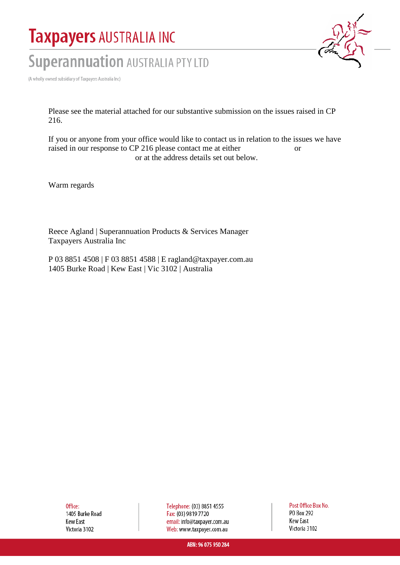# **Taxpayers AUSTRALIA INC**

# **Superannuation AUSTRALIA PTY LTD**

(A wholly owned subsidiary of Taxpayers Australia Inc)

Please see the material attached for our substantive submission on the issues raised in CP 216.

If you or anyone from your office would like to contact us in relation to the issues we have raised in our response to CP 216 please contact me at either or or at the address details set out below.

Warm regards

Reece Agland | Superannuation Products & Services Manager Taxpayers Australia Inc

P 03 8851 4508 | F 03 8851 4588 | E ragland@taxpayer.com.au 1405 Burke Road | Kew East | Vic 3102 | Australia

Office: 1405 Burke Road **Kew East** Victoria 3102

Telephone: (03) 8851 4555 Fax: (03) 9819 7720 email: info@taxpayer.com.au Web: www.taxpayer.com.au

Post Office Box No. **PO Box 292 Kew East** Victoria 3102

ABN: 96 075 950 284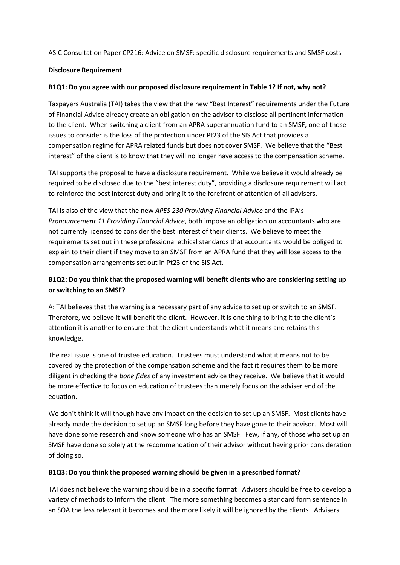ASIC Consultation Paper CP216: Advice on SMSF: specific disclosure requirements and SMSF costs

#### **Disclosure Requirement**

#### **B1Q1: Do you agree with our proposed disclosure requirement in Table 1? If not, why not?**

Taxpayers Australia (TAI) takes the view that the new "Best Interest" requirements under the Future of Financial Advice already create an obligation on the adviser to disclose all pertinent information to the client. When switching a client from an APRA superannuation fund to an SMSF, one of those issues to consider is the loss of the protection under Pt23 of the SIS Act that provides a compensation regime for APRA related funds but does not cover SMSF. We believe that the "Best interest" of the client is to know that they will no longer have access to the compensation scheme.

TAI supports the proposal to have a disclosure requirement. While we believe it would already be required to be disclosed due to the "best interest duty", providing a disclosure requirement will act to reinforce the best interest duty and bring it to the forefront of attention of all advisers.

TAI is also of the view that the new *APES 230 Providing Financial Advice* and the IPA's *Pronouncement 11 Providing Financial Advice*, both impose an obligation on accountants who are not currently licensed to consider the best interest of their clients. We believe to meet the requirements set out in these professional ethical standards that accountants would be obliged to explain to their client if they move to an SMSF from an APRA fund that they will lose access to the compensation arrangements set out in Pt23 of the SIS Act.

## **B1Q2: Do you think that the proposed warning will benefit clients who are considering setting up or switching to an SMSF?**

A: TAI believes that the warning is a necessary part of any advice to set up or switch to an SMSF. Therefore, we believe it will benefit the client. However, it is one thing to bring it to the client's attention it is another to ensure that the client understands what it means and retains this knowledge.

The real issue is one of trustee education. Trustees must understand what it means not to be covered by the protection of the compensation scheme and the fact it requires them to be more diligent in checking the *bone fides* of any investment advice they receive. We believe that it would be more effective to focus on education of trustees than merely focus on the adviser end of the equation.

We don't think it will though have any impact on the decision to set up an SMSF. Most clients have already made the decision to set up an SMSF long before they have gone to their advisor. Most will have done some research and know someone who has an SMSF. Few, if any, of those who set up an SMSF have done so solely at the recommendation of their advisor without having prior consideration of doing so.

#### **B1Q3: Do you think the proposed warning should be given in a prescribed format?**

TAI does not believe the warning should be in a specific format. Advisers should be free to develop a variety of methods to inform the client. The more something becomes a standard form sentence in an SOA the less relevant it becomes and the more likely it will be ignored by the clients. Advisers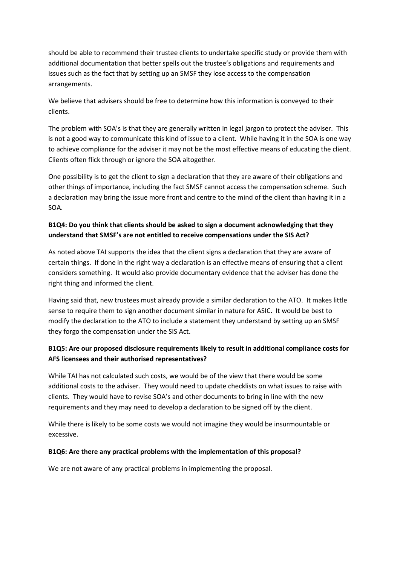should be able to recommend their trustee clients to undertake specific study or provide them with additional documentation that better spells out the trustee's obligations and requirements and issues such as the fact that by setting up an SMSF they lose access to the compensation arrangements.

We believe that advisers should be free to determine how this information is conveyed to their clients.

The problem with SOA's is that they are generally written in legal jargon to protect the adviser. This is not a good way to communicate this kind of issue to a client. While having it in the SOA is one way to achieve compliance for the adviser it may not be the most effective means of educating the client. Clients often flick through or ignore the SOA altogether.

One possibility is to get the client to sign a declaration that they are aware of their obligations and other things of importance, including the fact SMSF cannot access the compensation scheme. Such a declaration may bring the issue more front and centre to the mind of the client than having it in a SOA.

# **B1Q4: Do you think that clients should be asked to sign a document acknowledging that they understand that SMSF's are not entitled to receive compensations under the SIS Act?**

As noted above TAI supports the idea that the client signs a declaration that they are aware of certain things. If done in the right way a declaration is an effective means of ensuring that a client considers something. It would also provide documentary evidence that the adviser has done the right thing and informed the client.

Having said that, new trustees must already provide a similar declaration to the ATO. It makes little sense to require them to sign another document similar in nature for ASIC. It would be best to modify the declaration to the ATO to include a statement they understand by setting up an SMSF they forgo the compensation under the SIS Act.

# **B1Q5: Are our proposed disclosure requirements likely to result in additional compliance costs for AFS licensees and their authorised representatives?**

While TAI has not calculated such costs, we would be of the view that there would be some additional costs to the adviser. They would need to update checklists on what issues to raise with clients. They would have to revise SOA's and other documents to bring in line with the new requirements and they may need to develop a declaration to be signed off by the client.

While there is likely to be some costs we would not imagine they would be insurmountable or excessive.

#### **B1Q6: Are there any practical problems with the implementation of this proposal?**

We are not aware of any practical problems in implementing the proposal.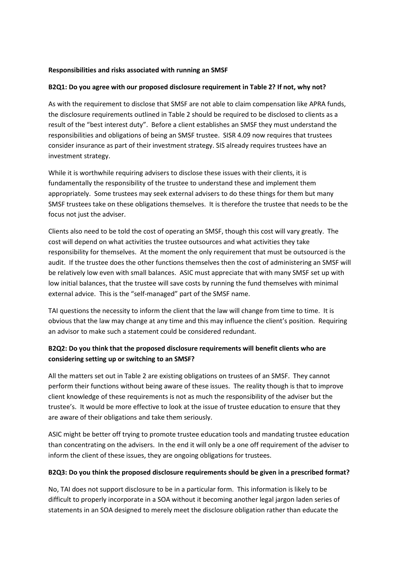#### **Responsibilities and risks associated with running an SMSF**

#### **B2Q1: Do you agree with our proposed disclosure requirement in Table 2? If not, why not?**

As with the requirement to disclose that SMSF are not able to claim compensation like APRA funds, the disclosure requirements outlined in Table 2 should be required to be disclosed to clients as a result of the "best interest duty". Before a client establishes an SMSF they must understand the responsibilities and obligations of being an SMSF trustee. SISR 4.09 now requires that trustees consider insurance as part of their investment strategy. SIS already requires trustees have an investment strategy.

While it is worthwhile requiring advisers to disclose these issues with their clients, it is fundamentally the responsibility of the trustee to understand these and implement them appropriately. Some trustees may seek external advisers to do these things for them but many SMSF trustees take on these obligations themselves. It is therefore the trustee that needs to be the focus not just the adviser.

Clients also need to be told the cost of operating an SMSF, though this cost will vary greatly. The cost will depend on what activities the trustee outsources and what activities they take responsibility for themselves. At the moment the only requirement that must be outsourced is the audit. If the trustee does the other functions themselves then the cost of administering an SMSF will be relatively low even with small balances. ASIC must appreciate that with many SMSF set up with low initial balances, that the trustee will save costs by running the fund themselves with minimal external advice. This is the "self-managed" part of the SMSF name.

TAI questions the necessity to inform the client that the law will change from time to time. It is obvious that the law may change at any time and this may influence the client's position. Requiring an advisor to make such a statement could be considered redundant.

## **B2Q2: Do you think that the proposed disclosure requirements will benefit clients who are considering setting up or switching to an SMSF?**

All the matters set out in Table 2 are existing obligations on trustees of an SMSF. They cannot perform their functions without being aware of these issues. The reality though is that to improve client knowledge of these requirements is not as much the responsibility of the adviser but the trustee's. It would be more effective to look at the issue of trustee education to ensure that they are aware of their obligations and take them seriously.

ASIC might be better off trying to promote trustee education tools and mandating trustee education than concentrating on the advisers. In the end it will only be a one off requirement of the adviser to inform the client of these issues, they are ongoing obligations for trustees.

#### **B2Q3: Do you think the proposed disclosure requirements should be given in a prescribed format?**

No, TAI does not support disclosure to be in a particular form. This information is likely to be difficult to properly incorporate in a SOA without it becoming another legal jargon laden series of statements in an SOA designed to merely meet the disclosure obligation rather than educate the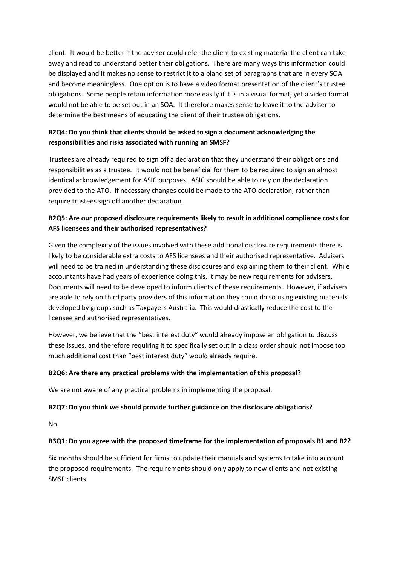client. It would be better if the adviser could refer the client to existing material the client can take away and read to understand better their obligations. There are many ways this information could be displayed and it makes no sense to restrict it to a bland set of paragraphs that are in every SOA and become meaningless. One option is to have a video format presentation of the client's trustee obligations. Some people retain information more easily if it is in a visual format, yet a video format would not be able to be set out in an SOA. It therefore makes sense to leave it to the adviser to determine the best means of educating the client of their trustee obligations.

## **B2Q4: Do you think that clients should be asked to sign a document acknowledging the responsibilities and risks associated with running an SMSF?**

Trustees are already required to sign off a declaration that they understand their obligations and responsibilities as a trustee. It would not be beneficial for them to be required to sign an almost identical acknowledgement for ASIC purposes. ASIC should be able to rely on the declaration provided to the ATO. If necessary changes could be made to the ATO declaration, rather than require trustees sign off another declaration.

# **B2Q5: Are our proposed disclosure requirements likely to result in additional compliance costs for AFS licensees and their authorised representatives?**

Given the complexity of the issues involved with these additional disclosure requirements there is likely to be considerable extra costs to AFS licensees and their authorised representative. Advisers will need to be trained in understanding these disclosures and explaining them to their client. While accountants have had years of experience doing this, it may be new requirements for advisers. Documents will need to be developed to inform clients of these requirements. However, if advisers are able to rely on third party providers of this information they could do so using existing materials developed by groups such as Taxpayers Australia. This would drastically reduce the cost to the licensee and authorised representatives.

However, we believe that the "best interest duty" would already impose an obligation to discuss these issues, and therefore requiring it to specifically set out in a class order should not impose too much additional cost than "best interest duty" would already require.

#### **B2Q6: Are there any practical problems with the implementation of this proposal?**

We are not aware of any practical problems in implementing the proposal.

## **B2Q7: Do you think we should provide further guidance on the disclosure obligations?**

No.

#### **B3Q1: Do you agree with the proposed timeframe for the implementation of proposals B1 and B2?**

Six months should be sufficient for firms to update their manuals and systems to take into account the proposed requirements. The requirements should only apply to new clients and not existing SMSF clients.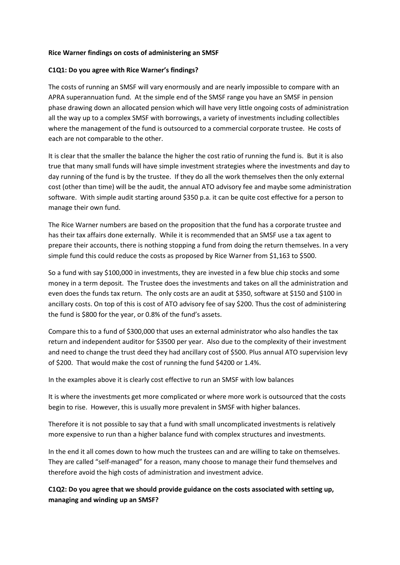#### **Rice Warner findings on costs of administering an SMSF**

#### **C1Q1: Do you agree with Rice Warner's findings?**

The costs of running an SMSF will vary enormously and are nearly impossible to compare with an APRA superannuation fund. At the simple end of the SMSF range you have an SMSF in pension phase drawing down an allocated pension which will have very little ongoing costs of administration all the way up to a complex SMSF with borrowings, a variety of investments including collectibles where the management of the fund is outsourced to a commercial corporate trustee. He costs of each are not comparable to the other.

It is clear that the smaller the balance the higher the cost ratio of running the fund is. But it is also true that many small funds will have simple investment strategies where the investments and day to day running of the fund is by the trustee. If they do all the work themselves then the only external cost (other than time) will be the audit, the annual ATO advisory fee and maybe some administration software. With simple audit starting around \$350 p.a. it can be quite cost effective for a person to manage their own fund.

The Rice Warner numbers are based on the proposition that the fund has a corporate trustee and has their tax affairs done externally. While it is recommended that an SMSF use a tax agent to prepare their accounts, there is nothing stopping a fund from doing the return themselves. In a very simple fund this could reduce the costs as proposed by Rice Warner from \$1,163 to \$500.

So a fund with say \$100,000 in investments, they are invested in a few blue chip stocks and some money in a term deposit. The Trustee does the investments and takes on all the administration and even does the funds tax return. The only costs are an audit at \$350, software at \$150 and \$100 in ancillary costs. On top of this is cost of ATO advisory fee of say \$200. Thus the cost of administering the fund is \$800 for the year, or 0.8% of the fund's assets.

Compare this to a fund of \$300,000 that uses an external administrator who also handles the tax return and independent auditor for \$3500 per year. Also due to the complexity of their investment and need to change the trust deed they had ancillary cost of \$500. Plus annual ATO supervision levy of \$200. That would make the cost of running the fund \$4200 or 1.4%.

In the examples above it is clearly cost effective to run an SMSF with low balances

It is where the investments get more complicated or where more work is outsourced that the costs begin to rise. However, this is usually more prevalent in SMSF with higher balances.

Therefore it is not possible to say that a fund with small uncomplicated investments is relatively more expensive to run than a higher balance fund with complex structures and investments.

In the end it all comes down to how much the trustees can and are willing to take on themselves. They are called "self-managed" for a reason, many choose to manage their fund themselves and therefore avoid the high costs of administration and investment advice.

**C1Q2: Do you agree that we should provide guidance on the costs associated with setting up, managing and winding up an SMSF?**